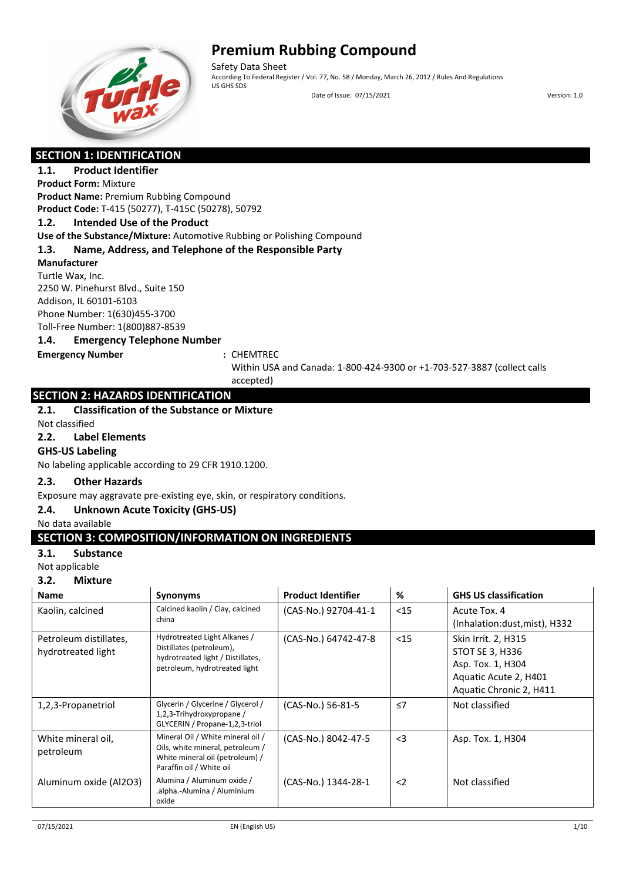

Safety Data Sheet<br>According To Federal Register / Vol. 77, No. 58 / Monday, March 26, 2012 / Rules And Regulations US GHS SDS

Date of Issue: 07/15/2021 Version: 1.0

### **SECTION 1: IDENTIFICATION**

#### **1.1. Product Identifier Product Form:** Mixture

**Product Name:** Premium Rubbing Compound **Product Code:** T-415 (50277), T-415C (50278), 50792

#### **1.2. Intended Use of the Product**

**Use of the Substance/Mixture:** Automotive Rubbing or Polishing Compound

#### **1.3. Name, Address, and Telephone of the Responsible Party**

**Manufacturer**

Turtle Wax, Inc. 2250 W. Pinehurst Blvd., Suite 150 Addison, IL 60101-6103 Phone Number: 1(630)455-3700 Toll-Free Number: 1(800)887-8539

#### **1.4. Emergency Telephone Number**

**Emergency Number :** CHEMTREC

Within USA and Canada: 1-800-424-9300 or +1-703-527-3887 (collect calls accepted)

### **SECTION 2: HAZARDS IDENTIFICATION**

#### **2.1. Classification of the Substance or Mixture**

Not classified

#### **2.2. Label Elements**

#### **GHS-US Labeling**

No labeling applicable according to 29 CFR 1910.1200.

#### **2.3. Other Hazards**

Exposure may aggravate pre-existing eye, skin, or respiratory conditions.

#### **2.4. Unknown Acute Toxicity (GHS-US)**

No data available

#### **SECTION 3: COMPOSITION/INFORMATION ON INGREDIENTS**

#### **3.1. Substance**

Not applicable

### **3.2. Mixture**

| <b>Name</b>                                  | <b>Synonyms</b>                                                                                                                      | <b>Product Identifier</b> | %        | <b>GHS US classification</b>                                                                                                  |
|----------------------------------------------|--------------------------------------------------------------------------------------------------------------------------------------|---------------------------|----------|-------------------------------------------------------------------------------------------------------------------------------|
| Kaolin, calcined                             | Calcined kaolin / Clay, calcined<br>china                                                                                            | (CAS-No.) 92704-41-1      | $15$     | Acute Tox, 4<br>(Inhalation:dust, mist), H332                                                                                 |
| Petroleum distillates,<br>hydrotreated light | Hydrotreated Light Alkanes /<br>Distillates (petroleum),<br>hydrotreated light / Distillates,<br>petroleum, hydrotreated light       | (CAS-No.) 64742-47-8      | $15$     | <b>Skin Irrit. 2, H315</b><br><b>STOT SE 3, H336</b><br>Asp. Tox. 1, H304<br>Aquatic Acute 2, H401<br>Aquatic Chronic 2, H411 |
| 1,2,3-Propanetriol                           | Glycerin / Glycerine / Glycerol /<br>1,2,3-Trihydroxypropane /<br>GLYCERIN / Propane-1,2,3-triol                                     | (CAS-No.) 56-81-5         | $\leq 7$ | Not classified                                                                                                                |
| White mineral oil,<br>petroleum              | Mineral Oil / White mineral oil /<br>Oils, white mineral, petroleum /<br>White mineral oil (petroleum) /<br>Paraffin oil / White oil | (CAS-No.) 8042-47-5       | $\leq$ 3 | Asp. Tox. 1, H304                                                                                                             |
| Aluminum oxide (Al2O3)                       | Alumina / Aluminum oxide /<br>.alpha.-Alumina / Aluminium<br>oxide                                                                   | (CAS-No.) 1344-28-1       | $2$      | Not classified                                                                                                                |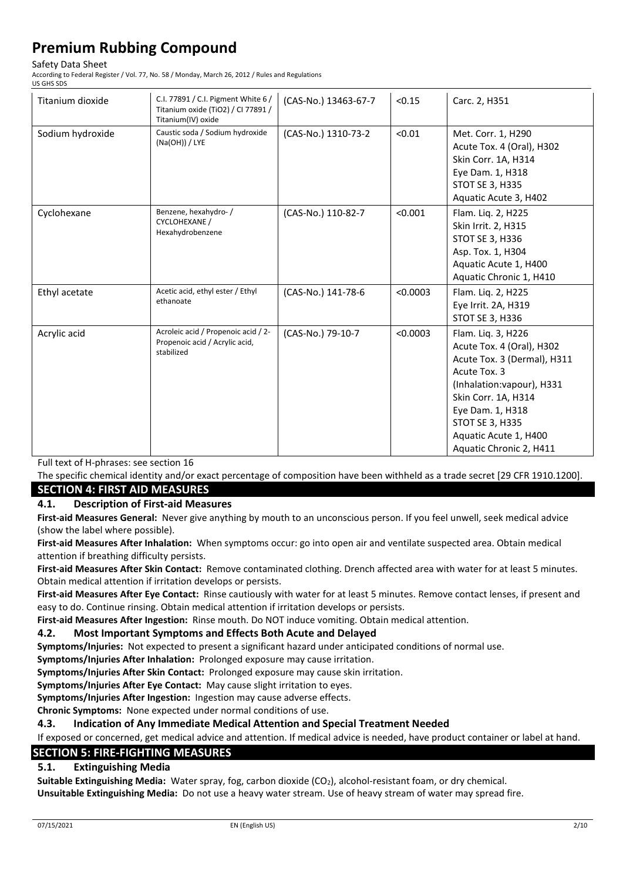#### Safety Data Sheet

According to Federal Register / Vol. 77, No. 58 / Monday, March 26, 2012 / Rules and Regulations US GHS SDS

| Titanium dioxide | C.I. 77891 / C.I. Pigment White 6 /<br>Titanium oxide (TiO2) / CI 77891 /<br>Titanium(IV) oxide | (CAS-No.) 13463-67-7 | < 0.15   | Carc. 2, H351                                                                                                                                                                                                                                  |
|------------------|-------------------------------------------------------------------------------------------------|----------------------|----------|------------------------------------------------------------------------------------------------------------------------------------------------------------------------------------------------------------------------------------------------|
| Sodium hydroxide | Caustic soda / Sodium hydroxide<br>(Na(OH)) / LYE                                               | (CAS-No.) 1310-73-2  | < 0.01   | Met. Corr. 1, H290<br>Acute Tox. 4 (Oral), H302<br>Skin Corr. 1A, H314<br>Eye Dam. 1, H318<br>STOT SE 3, H335<br>Aquatic Acute 3, H402                                                                                                         |
| Cyclohexane      | Benzene, hexahydro-/<br><b>CYCLOHEXANE /</b><br>Hexahydrobenzene                                | (CAS-No.) 110-82-7   | < 0.001  | Flam. Liq. 2, H225<br>Skin Irrit. 2, H315<br><b>STOT SE 3, H336</b><br>Asp. Tox. 1, H304<br>Aquatic Acute 1, H400<br>Aquatic Chronic 1, H410                                                                                                   |
| Ethyl acetate    | Acetic acid, ethyl ester / Ethyl<br>ethanoate                                                   | (CAS-No.) 141-78-6   | < 0.0003 | Flam. Liq. 2, H225<br>Eye Irrit. 2A, H319<br>STOT SE 3, H336                                                                                                                                                                                   |
| Acrylic acid     | Acroleic acid / Propenoic acid / 2-<br>Propenoic acid / Acrylic acid,<br>stabilized             | (CAS-No.) 79-10-7    | < 0.0003 | Flam. Liq. 3, H226<br>Acute Tox. 4 (Oral), H302<br>Acute Tox. 3 (Dermal), H311<br>Acute Tox. 3<br>(Inhalation: vapour), H331<br>Skin Corr. 1A, H314<br>Eye Dam. 1, H318<br>STOT SE 3, H335<br>Aquatic Acute 1, H400<br>Aquatic Chronic 2, H411 |

Full text of H-phrases: see section 16

The specific chemical identity and/or exact percentage of composition have been withheld as a trade secret [29 CFR 1910.1200]. **SECTION 4: FIRST AID MEASURES**

#### **4.1. Description of First-aid Measures**

**First-aid Measures General:** Never give anything by mouth to an unconscious person. If you feel unwell, seek medical advice (show the label where possible).

**First-aid Measures After Inhalation:** When symptoms occur: go into open air and ventilate suspected area. Obtain medical attention if breathing difficulty persists.

**First-aid Measures After Skin Contact:** Remove contaminated clothing. Drench affected area with water for at least 5 minutes. Obtain medical attention if irritation develops or persists.

**First-aid Measures After Eye Contact:** Rinse cautiously with water for at least 5 minutes. Remove contact lenses, if present and easy to do. Continue rinsing. Obtain medical attention if irritation develops or persists.

**First-aid Measures After Ingestion:** Rinse mouth. Do NOT induce vomiting. Obtain medical attention.

#### **4.2. Most Important Symptoms and Effects Both Acute and Delayed**

**Symptoms/Injuries:** Not expected to present a significant hazard under anticipated conditions of normal use.

**Symptoms/Injuries After Inhalation:** Prolonged exposure may cause irritation.

**Symptoms/Injuries After Skin Contact:** Prolonged exposure may cause skin irritation.

**Symptoms/Injuries After Eye Contact:** May cause slight irritation to eyes.

**Symptoms/Injuries After Ingestion:** Ingestion may cause adverse effects.

**Chronic Symptoms:** None expected under normal conditions of use.

**4.3. Indication of Any Immediate Medical Attention and Special Treatment Needed**

If exposed or concerned, get medical advice and attention. If medical advice is needed, have product container or label at hand.

### **SECTION 5: FIRE-FIGHTING MEASURES**

### **5.1. Extinguishing Media**

**Suitable Extinguishing Media:** Water spray, fog, carbon dioxide (CO2), alcohol-resistant foam, or dry chemical.

**Unsuitable Extinguishing Media:** Do not use a heavy water stream. Use of heavy stream of water may spread fire.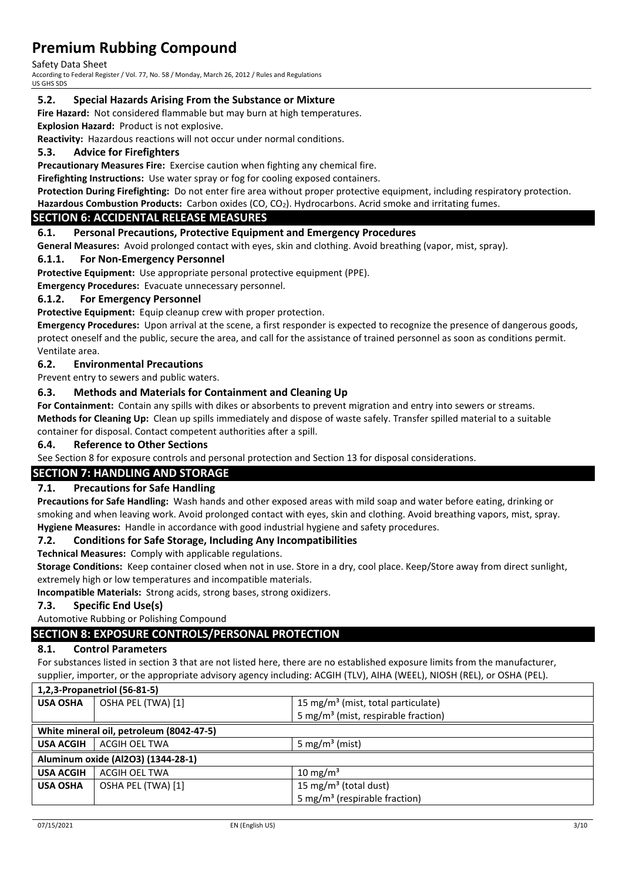Safety Data Sheet

According to Federal Register / Vol. 77, No. 58 / Monday, March 26, 2012 / Rules and Regulations US GHS SDS

#### **5.2. Special Hazards Arising From the Substance or Mixture**

**Fire Hazard:** Not considered flammable but may burn at high temperatures.

**Explosion Hazard:** Product is not explosive.

**Reactivity:** Hazardous reactions will not occur under normal conditions.

#### **5.3. Advice for Firefighters**

**Precautionary Measures Fire:** Exercise caution when fighting any chemical fire.

**Firefighting Instructions:** Use water spray or fog for cooling exposed containers.

**Protection During Firefighting:** Do not enter fire area without proper protective equipment, including respiratory protection. **Hazardous Combustion Products:** Carbon oxides (CO, CO2). Hydrocarbons. Acrid smoke and irritating fumes.

### **SECTION 6: ACCIDENTAL RELEASE MEASURES**

#### **6.1. Personal Precautions, Protective Equipment and Emergency Procedures**

**General Measures:** Avoid prolonged contact with eyes, skin and clothing. Avoid breathing (vapor, mist, spray).

#### **6.1.1. For Non-Emergency Personnel**

**Protective Equipment:** Use appropriate personal protective equipment (PPE).

**Emergency Procedures:** Evacuate unnecessary personnel.

#### **6.1.2. For Emergency Personnel**

**Protective Equipment:** Equip cleanup crew with proper protection.

**Emergency Procedures:** Upon arrival at the scene, a first responder is expected to recognize the presence of dangerous goods, protect oneself and the public, secure the area, and call for the assistance of trained personnel as soon as conditions permit. Ventilate area.

#### **6.2. Environmental Precautions**

Prevent entry to sewers and public waters.

#### **6.3. Methods and Materials for Containment and Cleaning Up**

**For Containment:** Contain any spills with dikes or absorbents to prevent migration and entry into sewers or streams. **Methods for Cleaning Up:** Clean up spills immediately and dispose of waste safely. Transfer spilled material to a suitable container for disposal. Contact competent authorities after a spill.

#### **6.4. Reference to Other Sections**

See Section 8 for exposure controls and personal protection and Section 13 for disposal considerations.

### **SECTION 7: HANDLING AND STORAGE**

#### **7.1. Precautions for Safe Handling**

**Precautions for Safe Handling:** Wash hands and other exposed areas with mild soap and water before eating, drinking or smoking and when leaving work. Avoid prolonged contact with eyes, skin and clothing. Avoid breathing vapors, mist, spray. **Hygiene Measures:** Handle in accordance with good industrial hygiene and safety procedures.

#### **7.2. Conditions for Safe Storage, Including Any Incompatibilities**

**Technical Measures:** Comply with applicable regulations.

**Storage Conditions:** Keep container closed when not in use. Store in a dry, cool place. Keep/Store away from direct sunlight, extremely high or low temperatures and incompatible materials.

**Incompatible Materials:** Strong acids, strong bases, strong oxidizers.

#### **7.3. Specific End Use(s)**

Automotive Rubbing or Polishing Compound

#### **SECTION 8: EXPOSURE CONTROLS/PERSONAL PROTECTION**

#### **8.1. Control Parameters**

For substances listed in section 3 that are not listed here, there are no established exposure limits from the manufacturer, supplier, importer, or the appropriate advisory agency including: ACGIH (TLV), AIHA (WEEL), NIOSH (REL), or OSHA (PEL).

|                  | 1,2,3-Propanetriol (56-81-5)             |                                                 |
|------------------|------------------------------------------|-------------------------------------------------|
| <b>USA OSHA</b>  | OSHA PEL (TWA) [1]                       | 15 mg/m <sup>3</sup> (mist, total particulate)  |
|                  |                                          | 5 mg/m <sup>3</sup> (mist, respirable fraction) |
|                  | White mineral oil, petroleum (8042-47-5) |                                                 |
| <b>USA ACGIH</b> | ACGIH OEL TWA                            | 5 mg/m <sup>3</sup> (mist)                      |
|                  | Aluminum oxide (Al2O3) (1344-28-1)       |                                                 |
| <b>USA ACGIH</b> | ACGIH OEL TWA                            | $10 \text{ mg/m}^3$                             |
| <b>USA OSHA</b>  | OSHA PEL (TWA) [1]                       | 15 mg/m <sup>3</sup> (total dust)               |
|                  |                                          | 5 mg/m <sup>3</sup> (respirable fraction)       |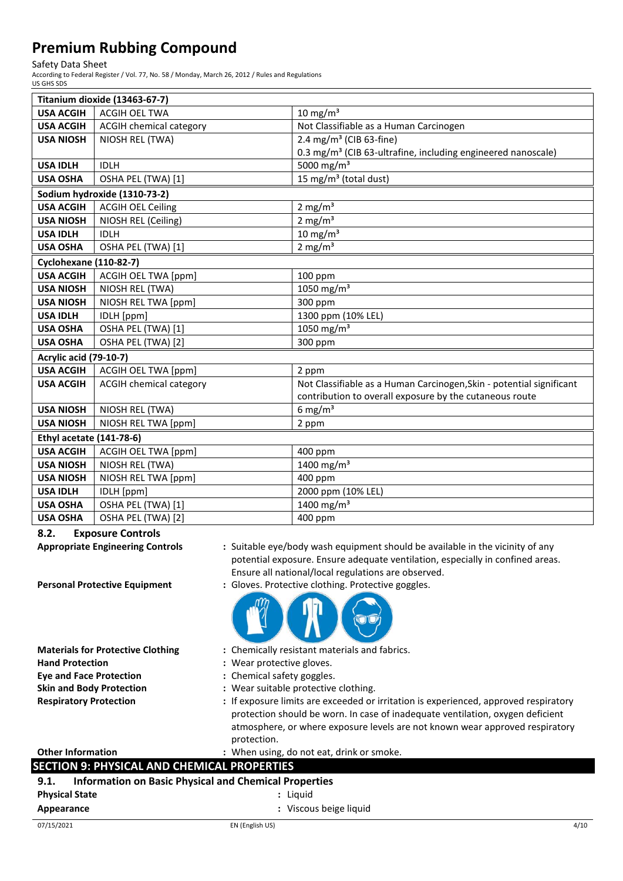Safety Data Sheet

According to Federal Register / Vol. 77, No. 58 / Monday, March 26, 2012 / Rules and Regulations US GHS SDS

| Titanium dioxide (13463-67-7) |                                |                                                                          |
|-------------------------------|--------------------------------|--------------------------------------------------------------------------|
| <b>USA ACGIH</b>              | <b>ACGIH OEL TWA</b>           | $10 \text{ mg/m}^3$                                                      |
| <b>USA ACGIH</b>              | <b>ACGIH chemical category</b> | Not Classifiable as a Human Carcinogen                                   |
| <b>USA NIOSH</b>              | NIOSH REL (TWA)                | 2.4 mg/m <sup>3</sup> (CIB 63-fine)                                      |
|                               |                                | 0.3 mg/m <sup>3</sup> (CIB 63-ultrafine, including engineered nanoscale) |
| <b>USA IDLH</b>               | <b>IDLH</b>                    | 5000 mg/m <sup>3</sup>                                                   |
| <b>USA OSHA</b>               | OSHA PEL (TWA) [1]             | 15 mg/m <sup>3</sup> (total dust)                                        |
|                               | Sodium hydroxide (1310-73-2)   |                                                                          |
| <b>USA ACGIH</b>              | <b>ACGIH OEL Ceiling</b>       | 2 mg/ $m3$                                                               |
| <b>USA NIOSH</b>              | NIOSH REL (Ceiling)            | 2 mg/ $m3$                                                               |
| <b>USA IDLH</b>               | <b>IDLH</b>                    | $10 \text{ mg/m}^3$                                                      |
| <b>USA OSHA</b>               | OSHA PEL (TWA) [1]             | 2 mg/ $m3$                                                               |
| <b>Cyclohexane (110-82-7)</b> |                                |                                                                          |
| <b>USA ACGIH</b>              | ACGIH OEL TWA [ppm]            | 100 ppm                                                                  |
| <b>USA NIOSH</b>              | NIOSH REL (TWA)                | 1050 mg/m $3$                                                            |
| <b>USA NIOSH</b>              | NIOSH REL TWA [ppm]            | 300 ppm                                                                  |
| <b>USA IDLH</b>               | IDLH [ppm]                     | 1300 ppm (10% LEL)                                                       |
| <b>USA OSHA</b>               | OSHA PEL (TWA) [1]             | 1050 mg/m <sup>3</sup>                                                   |
| <b>USA OSHA</b>               | OSHA PEL (TWA) [2]             | 300 ppm                                                                  |
| <b>Acrylic acid (79-10-7)</b> |                                |                                                                          |
| <b>USA ACGIH</b>              | <b>ACGIH OEL TWA [ppm]</b>     | 2 ppm                                                                    |
| <b>USA ACGIH</b>              | <b>ACGIH chemical category</b> | Not Classifiable as a Human Carcinogen, Skin - potential significant     |
|                               |                                | contribution to overall exposure by the cutaneous route                  |
| <b>USA NIOSH</b>              | NIOSH REL (TWA)                | 6 mg/m <sup>3</sup>                                                      |
| <b>USA NIOSH</b>              | NIOSH REL TWA [ppm]            | 2 ppm                                                                    |
| Ethyl acetate (141-78-6)      |                                |                                                                          |
| <b>USA ACGIH</b>              | <b>ACGIH OEL TWA [ppm]</b>     | 400 ppm                                                                  |
| <b>USA NIOSH</b>              | NIOSH REL (TWA)                | 1400 mg/m <sup>3</sup>                                                   |
| <b>USA NIOSH</b>              | NIOSH REL TWA [ppm]            | 400 ppm                                                                  |
| <b>USA IDLH</b>               | IDLH [ppm]                     | 2000 ppm (10% LEL)                                                       |
| <b>USA OSHA</b>               | OSHA PEL (TWA) [1]             | 1400 mg/m <sup>3</sup>                                                   |
| <b>USA OSHA</b>               | OSHA PEL (TWA) [2]             | 400 ppm                                                                  |

**8.2. Exposure Controls**

**Appropriate Engineering Controls :** Suitable eye/body wash equipment should be available in the vicinity of any



Ensure all national/local regulations are observed.

- **Hand Protection :** Wear protective gloves. **Eye and Face Protection :** Chemical safety goggles.
- **Materials for Protective Clothing :** Chemically resistant materials and fabrics.
	-
	-
- **Skin and Body Protection :** Wear suitable protective clothing.
- **Respiratory Protection :** If exposure limits are exceeded or irritation is experienced, approved respiratory protection should be worn. In case of inadequate ventilation, oxygen deficient atmosphere, or where exposure levels are not known wear approved respiratory protection.

potential exposure. Ensure adequate ventilation, especially in confined areas.

### **Other Information :** When using, do not eat, drink or smoke.

#### **SECTION 9: PHYSICAL AND CHEMICAL PROPERTIES**

| 9.1.                  | <b>Information on Basic Physical and Chemical Properties</b> |      |
|-----------------------|--------------------------------------------------------------|------|
| <b>Physical State</b> | : Liauid                                                     |      |
| Appearance            | : Viscous beige liquid                                       |      |
| 07/15/2021            | EN (English US)                                              | 4/10 |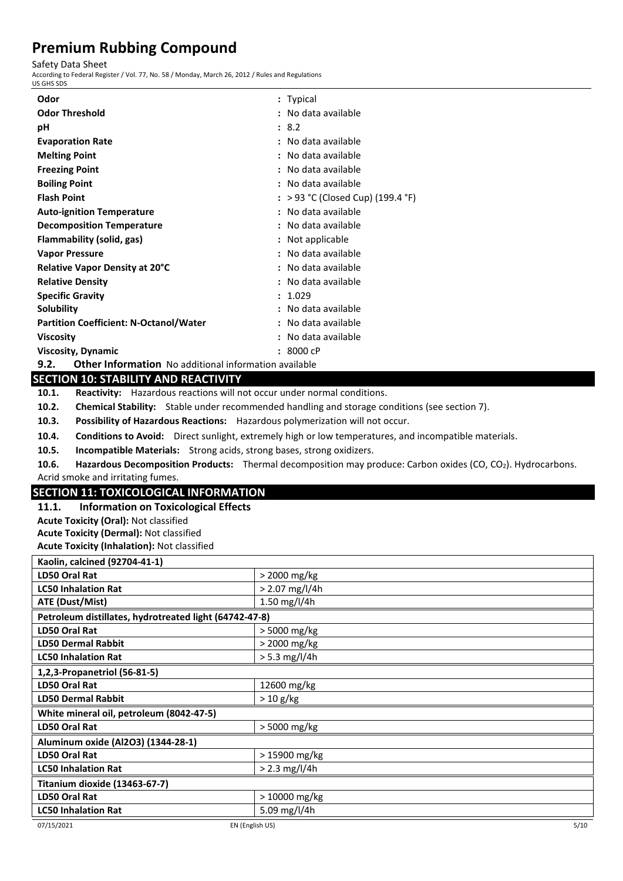Safety Data Sheet

According to Federal Register / Vol. 77, No. 58 / Monday, March 26, 2012 / Rules and Regulations

| US GHS SDS                                                                            |                                                                                                             |  |
|---------------------------------------------------------------------------------------|-------------------------------------------------------------------------------------------------------------|--|
| Odor                                                                                  | : Typical                                                                                                   |  |
| <b>Odor Threshold</b>                                                                 | : No data available                                                                                         |  |
| pH                                                                                    | : 8.2                                                                                                       |  |
| <b>Evaporation Rate</b>                                                               | : No data available                                                                                         |  |
| <b>Melting Point</b>                                                                  | : No data available                                                                                         |  |
| <b>Freezing Point</b>                                                                 | : No data available                                                                                         |  |
| <b>Boiling Point</b>                                                                  | : No data available                                                                                         |  |
| <b>Flash Point</b>                                                                    | : > 93 °C (Closed Cup) (199.4 °F)                                                                           |  |
| <b>Auto-ignition Temperature</b>                                                      | : No data available                                                                                         |  |
| <b>Decomposition Temperature</b>                                                      | : No data available                                                                                         |  |
| Flammability (solid, gas)                                                             | : Not applicable                                                                                            |  |
| <b>Vapor Pressure</b>                                                                 | : No data available                                                                                         |  |
| Relative Vapor Density at 20°C                                                        | : No data available                                                                                         |  |
| <b>Relative Density</b>                                                               | : No data available                                                                                         |  |
| <b>Specific Gravity</b>                                                               | : 1.029                                                                                                     |  |
| Solubility                                                                            | : No data available                                                                                         |  |
| <b>Partition Coefficient: N-Octanol/Water</b>                                         | : No data available                                                                                         |  |
| <b>Viscosity</b>                                                                      | : No data available                                                                                         |  |
| <b>Viscosity, Dynamic</b>                                                             | : 8000cP                                                                                                    |  |
| 9.2.<br><b>Other Information</b> No additional information available                  |                                                                                                             |  |
| <b>SECTION 10: STABILITY AND REACTIVITY</b>                                           |                                                                                                             |  |
| Reactivity: Hazardous reactions will not occur under normal conditions.<br>10.1.      |                                                                                                             |  |
| 10.2.                                                                                 | Chemical Stability: Stable under recommended handling and storage conditions (see section 7).               |  |
| Possibility of Hazardous Reactions: Hazardous polymerization will not occur.<br>10.3. |                                                                                                             |  |
| 10.4.                                                                                 | Conditions to Avoid: Direct sunlight, extremely high or low temperatures, and incompatible materials.       |  |
| 10.5.<br>Incompatible Materials: Strong acids, strong bases, strong oxidizers.        |                                                                                                             |  |
| 10.6.                                                                                 | Hazardous Decomposition Products: Thermal decomposition may produce: Carbon oxides (CO, CO2). Hydrocarbons. |  |
| Acrid smoke and irritating fumes.                                                     |                                                                                                             |  |
| <b>SECTION 11: TOXICOLOGICAL INFORMATION</b>                                          |                                                                                                             |  |
| 11.1.<br><b>Information on Toxicological Effects</b>                                  |                                                                                                             |  |
| <b>Acute Toxicity (Oral): Not classified</b>                                          |                                                                                                             |  |
| <b>Acute Toxicity (Dermal): Not classified</b>                                        |                                                                                                             |  |
| <b>Acute Toxicity (Inhalation): Not classified</b>                                    |                                                                                                             |  |
| Kaolin, calcined (92704-41-1)                                                         |                                                                                                             |  |
| LD50 Oral Rat                                                                         | > 2000 mg/kg                                                                                                |  |
| <b>LC50 Inhalation Rat</b>                                                            | $> 2.07$ mg/l/4h                                                                                            |  |
| ATE (Dust/Mist)                                                                       | 1.50 mg/l/4h                                                                                                |  |
| Petroleum distillates, hydrotreated light (64742-47-8)                                |                                                                                                             |  |
| LD50 Oral Rat                                                                         | > 5000 mg/kg                                                                                                |  |
| <b>LD50 Dermal Rabbit</b>                                                             | > 2000 mg/kg                                                                                                |  |
| <b>LC50 Inhalation Rat</b><br>$> 5.3$ mg/l/4h                                         |                                                                                                             |  |
| 1,2,3-Propanetriol (56-81-5)                                                          |                                                                                                             |  |
| LD50 Oral Rat                                                                         | 12600 mg/kg                                                                                                 |  |
| <b>LD50 Dermal Rabbit</b><br>$> 10$ g/kg                                              |                                                                                                             |  |
| White mineral oil, petroleum (8042-47-5)<br>$10500 - 10$                              | $FQQQ = -1$                                                                                                 |  |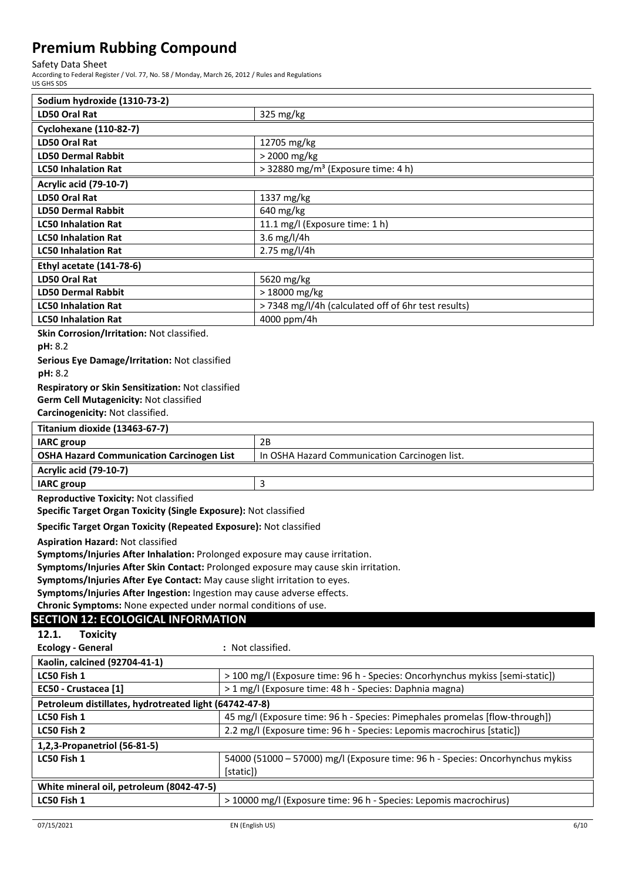Safety Data Sheet

According to Federal Register / Vol. 77, No. 58 / Monday, March 26, 2012 / Rules and Regulations US GHS SDS

| Sodium hydroxide (1310-73-2)                                                                                             |                                                                                |  |
|--------------------------------------------------------------------------------------------------------------------------|--------------------------------------------------------------------------------|--|
| <b>LD50 Oral Rat</b>                                                                                                     | 325 mg/kg                                                                      |  |
| <b>Cyclohexane (110-82-7)</b>                                                                                            |                                                                                |  |
| <b>LD50 Oral Rat</b>                                                                                                     | 12705 mg/kg                                                                    |  |
| <b>LD50 Dermal Rabbit</b>                                                                                                | > 2000 mg/kg                                                                   |  |
| <b>LC50 Inhalation Rat</b>                                                                                               | > 32880 mg/m <sup>3</sup> (Exposure time: 4 h)                                 |  |
| <b>Acrylic acid (79-10-7)</b>                                                                                            |                                                                                |  |
| <b>LD50 Oral Rat</b>                                                                                                     | 1337 mg/kg                                                                     |  |
| <b>LD50 Dermal Rabbit</b>                                                                                                | 640 mg/kg                                                                      |  |
| <b>LC50 Inhalation Rat</b>                                                                                               | 11.1 mg/l (Exposure time: 1 h)                                                 |  |
| <b>LC50 Inhalation Rat</b>                                                                                               | 3.6 mg/l/4h                                                                    |  |
| <b>LC50 Inhalation Rat</b>                                                                                               | 2.75 mg/l/4h                                                                   |  |
| Ethyl acetate (141-78-6)                                                                                                 |                                                                                |  |
| <b>LD50 Oral Rat</b>                                                                                                     | 5620 mg/kg                                                                     |  |
| <b>LD50 Dermal Rabbit</b>                                                                                                | > 18000 mg/kg                                                                  |  |
| <b>LC50 Inhalation Rat</b>                                                                                               | > 7348 mg/l/4h (calculated off of 6hr test results)                            |  |
| <b>LC50 Inhalation Rat</b>                                                                                               | 4000 ppm/4h                                                                    |  |
| Skin Corrosion/Irritation: Not classified.                                                                               |                                                                                |  |
| pH: 8.2                                                                                                                  |                                                                                |  |
| Serious Eye Damage/Irritation: Not classified<br>pH: 8.2                                                                 |                                                                                |  |
| Respiratory or Skin Sensitization: Not classified                                                                        |                                                                                |  |
| Germ Cell Mutagenicity: Not classified                                                                                   |                                                                                |  |
| Carcinogenicity: Not classified.                                                                                         |                                                                                |  |
| Titanium dioxide (13463-67-7)                                                                                            |                                                                                |  |
| <b>IARC</b> group                                                                                                        | 2B                                                                             |  |
| <b>OSHA Hazard Communication Carcinogen List</b>                                                                         | In OSHA Hazard Communication Carcinogen list.                                  |  |
| <b>Acrylic acid (79-10-7)</b>                                                                                            |                                                                                |  |
| <b>IARC</b> group                                                                                                        | 3                                                                              |  |
|                                                                                                                          |                                                                                |  |
| <b>Reproductive Toxicity: Not classified</b><br>Specific Target Organ Toxicity (Single Exposure): Not classified         |                                                                                |  |
| Specific Target Organ Toxicity (Repeated Exposure): Not classified                                                       |                                                                                |  |
|                                                                                                                          |                                                                                |  |
| <b>Aspiration Hazard: Not classified</b><br>Symptoms/Injuries After Inhalation: Prolonged exposure may cause irritation. |                                                                                |  |
| Symptoms/Injuries After Skin Contact: Prolonged exposure may cause skin irritation.                                      |                                                                                |  |
| Symptoms/Injuries After Eye Contact: May cause slight irritation to eyes.                                                |                                                                                |  |
| Symptoms/Injuries After Ingestion: Ingestion may cause adverse effects.                                                  |                                                                                |  |
| Chronic Symptoms: None expected under normal conditions of use.                                                          |                                                                                |  |
| <b>SECTION 12: ECOLOGICAL INFORMATION</b>                                                                                |                                                                                |  |
| 12.1.<br><b>Toxicity</b>                                                                                                 |                                                                                |  |
| <b>Ecology - General</b>                                                                                                 | : Not classified.                                                              |  |
| Kaolin, calcined (92704-41-1)                                                                                            |                                                                                |  |
| LC50 Fish 1                                                                                                              | > 100 mg/l (Exposure time: 96 h - Species: Oncorhynchus mykiss [semi-static])  |  |
| EC50 - Crustacea [1]                                                                                                     | > 1 mg/l (Exposure time: 48 h - Species: Daphnia magna)                        |  |
| Petroleum distillates, hydrotreated light (64742-47-8)                                                                   |                                                                                |  |
| LC50 Fish 1                                                                                                              | 45 mg/l (Exposure time: 96 h - Species: Pimephales promelas [flow-through])    |  |
| LC50 Fish 2                                                                                                              | 2.2 mg/l (Exposure time: 96 h - Species: Lepomis macrochirus [static])         |  |
| 1,2,3-Propanetriol (56-81-5)                                                                                             |                                                                                |  |
| LC50 Fish 1                                                                                                              | 54000 (51000 - 57000) mg/l (Exposure time: 96 h - Species: Oncorhynchus mykiss |  |
|                                                                                                                          | [static])                                                                      |  |
| White mineral oil, petroleum (8042-47-5)                                                                                 |                                                                                |  |
| LC50 Fish 1                                                                                                              | > 10000 mg/l (Exposure time: 96 h - Species: Lepomis macrochirus)              |  |
|                                                                                                                          |                                                                                |  |
|                                                                                                                          |                                                                                |  |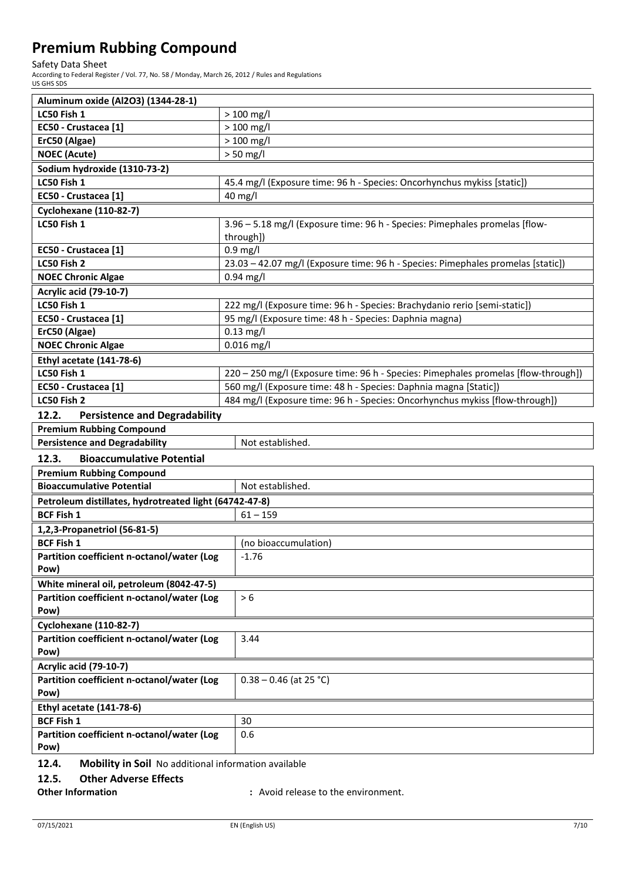Safety Data Sheet

According to Federal Register / Vol. 77, No. 58 / Monday, March 26, 2012 / Rules and Regulations US GHS SDS

| Aluminum oxide (Al2O3) (1344-28-1)                            |                                                                                    |  |
|---------------------------------------------------------------|------------------------------------------------------------------------------------|--|
| LC50 Fish 1                                                   | $> 100$ mg/l                                                                       |  |
| EC50 - Crustacea [1]                                          | $>100$ mg/l                                                                        |  |
| ErC50 (Algae)                                                 | $>100$ mg/l                                                                        |  |
| <b>NOEC (Acute)</b>                                           | $> 50$ mg/l                                                                        |  |
| Sodium hydroxide (1310-73-2)                                  |                                                                                    |  |
| LC50 Fish 1                                                   | 45.4 mg/l (Exposure time: 96 h - Species: Oncorhynchus mykiss [static])            |  |
| EC50 - Crustacea [1]                                          | 40 mg/l                                                                            |  |
| <b>Cyclohexane (110-82-7)</b>                                 |                                                                                    |  |
| LC50 Fish 1                                                   | 3.96 - 5.18 mg/l (Exposure time: 96 h - Species: Pimephales promelas [flow-        |  |
|                                                               | through])                                                                          |  |
| EC50 - Crustacea [1]                                          | $0.9$ mg/l                                                                         |  |
| LC50 Fish 2                                                   | 23.03 - 42.07 mg/l (Exposure time: 96 h - Species: Pimephales promelas [static])   |  |
| <b>NOEC Chronic Algae</b>                                     | $0.94$ mg/l                                                                        |  |
| <b>Acrylic acid (79-10-7)</b>                                 |                                                                                    |  |
| LC50 Fish 1                                                   | 222 mg/l (Exposure time: 96 h - Species: Brachydanio rerio [semi-static])          |  |
| EC50 - Crustacea [1]                                          | 95 mg/l (Exposure time: 48 h - Species: Daphnia magna)                             |  |
| ErC50 (Algae)                                                 | $0.13$ mg/l                                                                        |  |
| <b>NOEC Chronic Algae</b>                                     | $0.016$ mg/l                                                                       |  |
| <b>Ethyl acetate (141-78-6)</b>                               |                                                                                    |  |
| LC50 Fish 1                                                   | 220 - 250 mg/l (Exposure time: 96 h - Species: Pimephales promelas [flow-through]) |  |
| EC50 - Crustacea [1]                                          | 560 mg/l (Exposure time: 48 h - Species: Daphnia magna [Static])                   |  |
| LC50 Fish 2                                                   | 484 mg/l (Exposure time: 96 h - Species: Oncorhynchus mykiss [flow-through])       |  |
| 12.2.<br><b>Persistence and Degradability</b>                 |                                                                                    |  |
| <b>Premium Rubbing Compound</b>                               |                                                                                    |  |
| <b>Persistence and Degradability</b>                          | Not established.                                                                   |  |
| 12.3.<br><b>Bioaccumulative Potential</b>                     |                                                                                    |  |
| <b>Premium Rubbing Compound</b>                               |                                                                                    |  |
| <b>Bioaccumulative Potential</b><br>Not established.          |                                                                                    |  |
| Petroleum distillates, hydrotreated light (64742-47-8)        |                                                                                    |  |
| <b>BCF Fish 1</b><br>$61 - 159$                               |                                                                                    |  |
| 1,2,3-Propanetriol (56-81-5)                                  |                                                                                    |  |
| <b>BCF Fish 1</b>                                             | (no bioaccumulation)                                                               |  |
| Partition coefficient n-octanol/water (Log<br>$-1.76$         |                                                                                    |  |
| Pow)                                                          |                                                                                    |  |
| White mineral oil, petroleum (8042-47-5)                      |                                                                                    |  |
| Partition coefficient n-octanol/water (Log                    | > 6                                                                                |  |
| Pow)                                                          |                                                                                    |  |
| <b>Cyclohexane (110-82-7)</b>                                 |                                                                                    |  |
| Partition coefficient n-octanol/water (Log                    | 3.44                                                                               |  |
| Pow)                                                          |                                                                                    |  |
| <b>Acrylic acid (79-10-7)</b>                                 |                                                                                    |  |
| Partition coefficient n-octanol/water (Log                    | $0.38 - 0.46$ (at 25 °C)                                                           |  |
| Pow)                                                          |                                                                                    |  |
| <b>Ethyl acetate (141-78-6)</b>                               |                                                                                    |  |
| <b>BCF Fish 1</b>                                             | 30                                                                                 |  |
| Partition coefficient n-octanol/water (Log                    | 0.6                                                                                |  |
| Pow)                                                          |                                                                                    |  |
| 12.4.<br>Mobility in Soil No additional information available |                                                                                    |  |

### **12.5. Other Adverse Effects**

**Other Information :** Avoid release to the environment.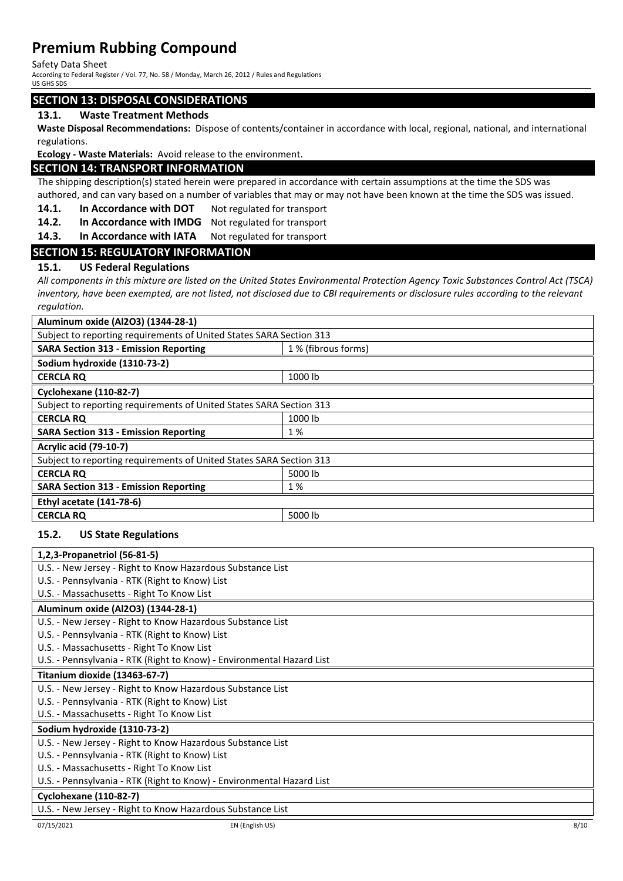Safety Data Sheet

According to Federal Register / Vol. 77, No. 58 / Monday, March 26, 2012 / Rules and Regulations US GHS SDS

### **SECTION 13: DISPOSAL CONSIDERATIONS**

#### **13.1. Waste Treatment Methods**

**Waste Disposal Recommendations:** Dispose of contents/container in accordance with local, regional, national, and international regulations.

**Ecology - Waste Materials:** Avoid release to the environment.

#### **SECTION 14: TRANSPORT INFORMATION**

The shipping description(s) stated herein were prepared in accordance with certain assumptions at the time the SDS was authored, and can vary based on a number of variables that may or may not have been known at the time the SDS was issued.

- 14.1. In Accordance with DOT Not regulated for transport
- **14.2. In Accordance with IMDG** Not regulated for transport
- **14.3. In Accordance with IATA** Not regulated for transport

#### **SECTION 15: REGULATORY INFORMATION**

#### **15.1. US Federal Regulations**

*All components in this mixture are listed on the United States Environmental Protection Agency Toxic Substances Control Act (TSCA) inventory, have been exempted, are not listed, not disclosed due to CBI requirements or disclosure rules according to the relevant regulation.*

| Aluminum oxide (Al2O3) (1344-28-1)                                  |                     |  |
|---------------------------------------------------------------------|---------------------|--|
| Subject to reporting requirements of United States SARA Section 313 |                     |  |
| <b>SARA Section 313 - Emission Reporting</b>                        | 1 % (fibrous forms) |  |
| Sodium hydroxide (1310-73-2)                                        |                     |  |
| <b>CERCLA RO</b>                                                    | 1000 lb             |  |
| <b>Cyclohexane (110-82-7)</b>                                       |                     |  |
| Subject to reporting requirements of United States SARA Section 313 |                     |  |
| <b>CERCLA RQ</b>                                                    | 1000 lb             |  |
| <b>SARA Section 313 - Emission Reporting</b>                        | 1 %                 |  |
| <b>Acrylic acid (79-10-7)</b>                                       |                     |  |
| Subject to reporting requirements of United States SARA Section 313 |                     |  |
| <b>CERCLA RO</b>                                                    | 5000 lb             |  |
| <b>SARA Section 313 - Emission Reporting</b>                        | 1 %                 |  |
| <b>Ethyl acetate (141-78-6)</b>                                     |                     |  |
| <b>CERCLA RQ</b>                                                    | 5000 lb             |  |
|                                                                     |                     |  |

#### **15.2. US State Regulations**

| 1,2,3-Propanetriol (56-81-5)                                          |
|-----------------------------------------------------------------------|
| U.S. - New Jersey - Right to Know Hazardous Substance List            |
| U.S. - Pennsylvania - RTK (Right to Know) List                        |
| U.S. - Massachusetts - Right To Know List                             |
| Aluminum oxide (Al2O3) (1344-28-1)                                    |
| U.S. - New Jersey - Right to Know Hazardous Substance List            |
| U.S. - Pennsylvania - RTK (Right to Know) List                        |
| U.S. - Massachusetts - Right To Know List                             |
| U.S. - Pennsylvania - RTK (Right to Know) - Environmental Hazard List |
| Titanium dioxide (13463-67-7)                                         |
| U.S. - New Jersey - Right to Know Hazardous Substance List            |
| U.S. - Pennsylvania - RTK (Right to Know) List                        |
| U.S. - Massachusetts - Right To Know List                             |
| Sodium hydroxide (1310-73-2)                                          |
| U.S. - New Jersey - Right to Know Hazardous Substance List            |
| U.S. - Pennsylvania - RTK (Right to Know) List                        |
| U.S. - Massachusetts - Right To Know List                             |
| U.S. - Pennsylvania - RTK (Right to Know) - Environmental Hazard List |
| <b>Cyclohexane (110-82-7)</b>                                         |
| U.S. - New Jersey - Right to Know Hazardous Substance List            |
| 8/10<br>07/15/2021<br>EN (English US)                                 |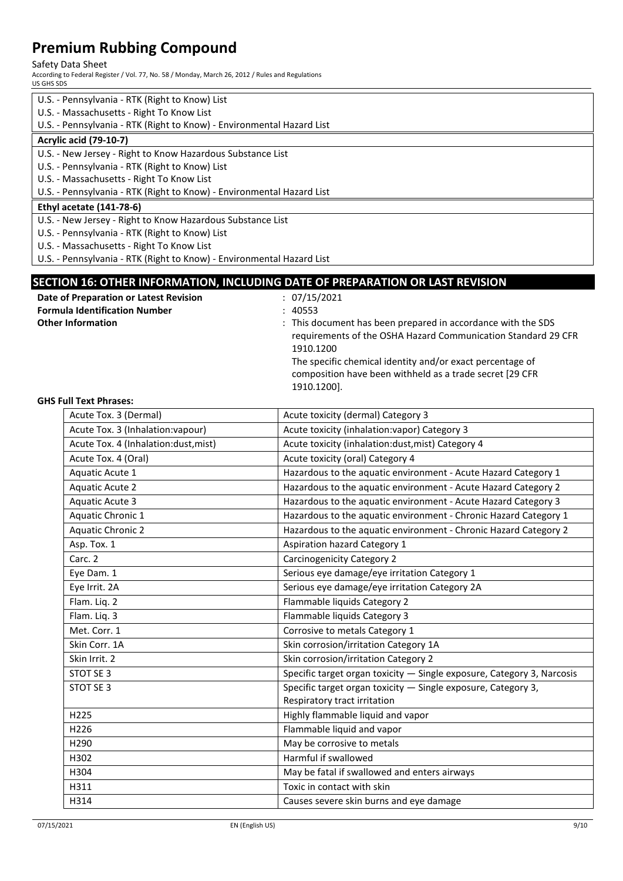Safety Data Sheet

According to Federal Register / Vol. 77, No. 58 / Monday, March 26, 2012 / Rules and Regulations US GHS SDS

| U.S. - Pennsylvania - RTK (Right to Know) List                        |
|-----------------------------------------------------------------------|
| U.S. - Massachusetts - Right To Know List                             |
| U.S. - Pennsylvania - RTK (Right to Know) - Environmental Hazard List |
| <b>Acrylic acid (79-10-7)</b>                                         |
| U.S. - New Jersey - Right to Know Hazardous Substance List            |
| U.S. - Pennsylvania - RTK (Right to Know) List                        |
| U.S. - Massachusetts - Right To Know List                             |
| U.S. - Pennsylvania - RTK (Right to Know) - Environmental Hazard List |
| <b>Ethyl acetate (141-78-6)</b>                                       |
| U.S. - New Jersey - Right to Know Hazardous Substance List            |
| U.S. - Pennsylvania - RTK (Right to Know) List                        |
| U.S. - Massachusetts - Right To Know List                             |
| U.S. - Pennsylvania - RTK (Right to Know) - Environmental Hazard List |

### **SECTION 16: OTHER INFORMATION, INCLUDING DATE OF PREPARATION OR LAST REVISION**

| Date of Preparation or Latest Revision | : 07/15/2021                                                                                                                                                                                                                                                                       |
|----------------------------------------|------------------------------------------------------------------------------------------------------------------------------------------------------------------------------------------------------------------------------------------------------------------------------------|
| <b>Formula Identification Number</b>   | : 40553                                                                                                                                                                                                                                                                            |
| <b>Other Information</b>               | : This document has been prepared in accordance with the SDS<br>requirements of the OSHA Hazard Communication Standard 29 CFR<br>1910.1200<br>The specific chemical identity and/or exact percentage of<br>composition have been withheld as a trade secret [29 CFR<br>1910.1200]. |

#### **GHS Full Text Phrases:**

| Acute Tox. 3 (Dermal)                | Acute toxicity (dermal) Category 3                                     |
|--------------------------------------|------------------------------------------------------------------------|
| Acute Tox. 3 (Inhalation: vapour)    | Acute toxicity (inhalation: vapor) Category 3                          |
| Acute Tox. 4 (Inhalation:dust, mist) | Acute toxicity (inhalation:dust, mist) Category 4                      |
| Acute Tox. 4 (Oral)                  | Acute toxicity (oral) Category 4                                       |
| Aquatic Acute 1                      | Hazardous to the aquatic environment - Acute Hazard Category 1         |
| <b>Aquatic Acute 2</b>               | Hazardous to the aquatic environment - Acute Hazard Category 2         |
| <b>Aquatic Acute 3</b>               | Hazardous to the aquatic environment - Acute Hazard Category 3         |
| Aquatic Chronic 1                    | Hazardous to the aquatic environment - Chronic Hazard Category 1       |
| <b>Aquatic Chronic 2</b>             | Hazardous to the aquatic environment - Chronic Hazard Category 2       |
| Asp. Tox. 1                          | <b>Aspiration hazard Category 1</b>                                    |
| Carc. 2                              | Carcinogenicity Category 2                                             |
| Eye Dam. 1                           | Serious eye damage/eye irritation Category 1                           |
| Eye Irrit. 2A                        | Serious eye damage/eye irritation Category 2A                          |
| Flam. Liq. 2                         | Flammable liquids Category 2                                           |
| Flam. Liq. 3                         | Flammable liquids Category 3                                           |
| Met. Corr. 1                         | Corrosive to metals Category 1                                         |
| Skin Corr. 1A                        | Skin corrosion/irritation Category 1A                                  |
| Skin Irrit. 2                        | Skin corrosion/irritation Category 2                                   |
| STOT SE 3                            | Specific target organ toxicity - Single exposure, Category 3, Narcosis |
| STOT SE 3                            | Specific target organ toxicity - Single exposure, Category 3,          |
|                                      | Respiratory tract irritation                                           |
| H <sub>225</sub>                     | Highly flammable liquid and vapor                                      |
| H226                                 | Flammable liquid and vapor                                             |
| H <sub>290</sub>                     | May be corrosive to metals                                             |
| H302                                 | Harmful if swallowed                                                   |
| H304                                 | May be fatal if swallowed and enters airways                           |
| H311                                 | Toxic in contact with skin                                             |
| H314                                 | Causes severe skin burns and eye damage                                |
|                                      |                                                                        |